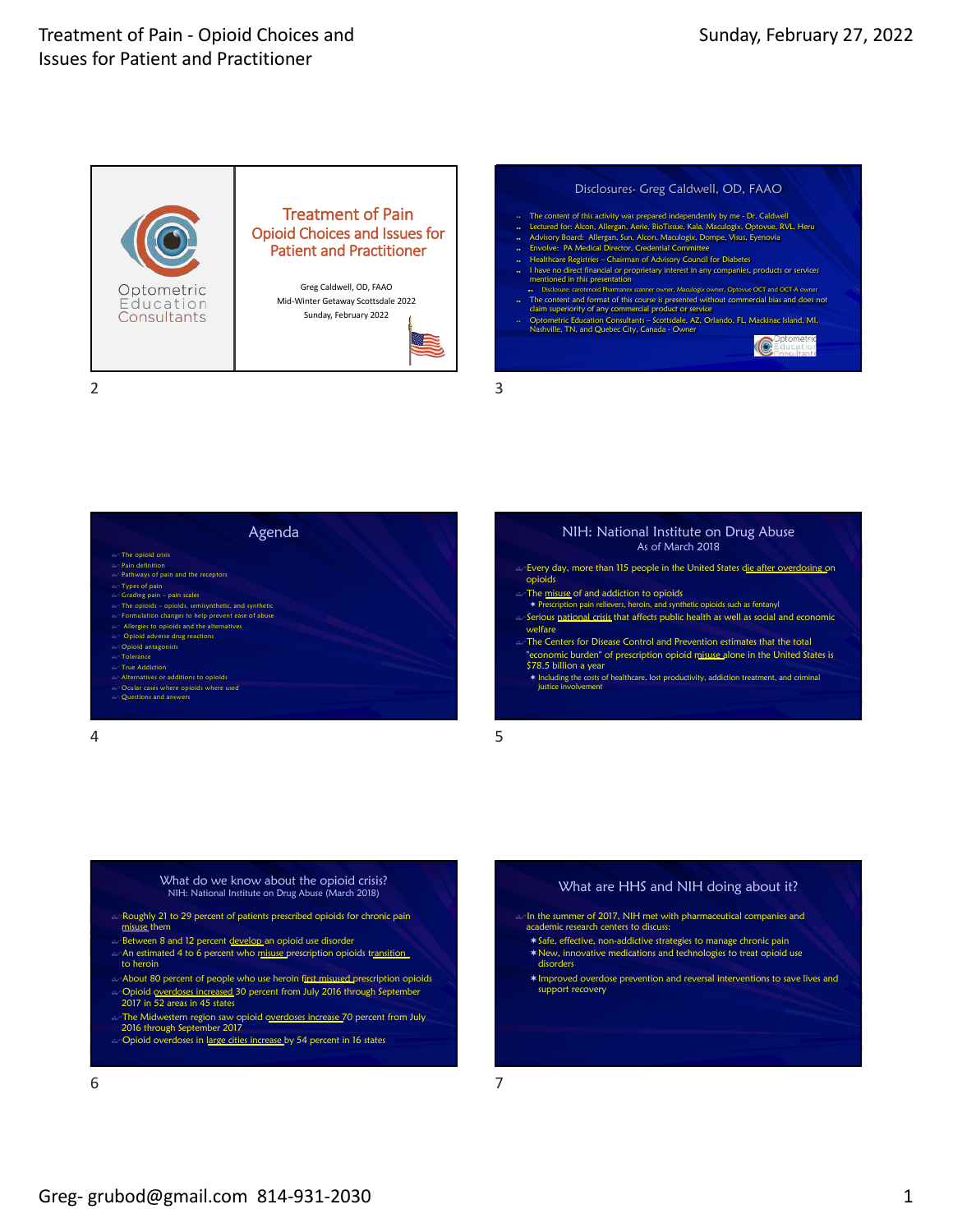

#### Disclosures- Greg Caldwell, OD, FAAO

- 
- -
- Healthcare Registries Chairman of Advisory Council for Diabetes
- I have no direct financial or proprietary interest in any companies, products or services mentioned in this presentation
- Disclosure: carotenoid Pharmanex scanner owner, Maculogix owner, Optovue OCT and OCT-A owner
- The content and format of this course is presented without commercial bias and does not claim superiority of any commercial product or service
- Optometric Education Consultants Scottsdale, AZ, Orlando, FL, Mackinac Island, MI, Nashville, TN, and Quebec City, Canada Owner

**IC** 



### NIH: National Institute on Drug Abuse As of March 2018

- $\infty$  Every day, more than 115 people in the United States die after overdosing on
- 

opioids

- $\curvearrowright$  The <u>misuse of and addiction to opioids</u><br>Prescription pain relievers, heroin, and synthetic opioids such as fentanyl
- \$Serious national crisis that affects public health as well as social and economic welfare
- an The Centers for Disease Control and Prevention estimates that the total 'economic burden" of prescription opioid misuse alone in the United States is \$78.5 billion a year
	- ¬ Including the costs of healthcare, lost productivity, addiction treatment, and criminal justice involvement

### 5

- What do we know about the opioid crisis? NIH: National Institute on Drug Abuse (March 2018)
- $\infty$  Roughly 21 to 29 percent of patients prescribed opioids for chronic pain misuse them
- ം<br>ക**B**etween 8 and 12 percent develop an opioid use disorder
- An estimated 4 to 6 percent who misuse prescription opioids transition to heroin
- a About 80 percent of people who use heroin first misused prescription opioids
- $\omega$ -Opioid <u>overdoses increased</u> 30 percent from July 2016 through September<br>2017 in 52 areas in 45 states
- $\omega$  The Midwestern region saw opioid overdoses increase 70 percent from July 2016 through September 2017
- o Opioid overdoses in large cities increase by 54 percent in 16 states

## What are HHS and NIH doing about it? and in the summer of 2017, NIH met with pharmaceutical companies and

- academic research centers to discuss:
- ¬Safe, effective, non-addictive strategies to manage chronic pain ¬New, innovative medications and technologies to treat opioid use disorders
- ¬Improved overdose prevention and reversal interventions to save lives and support recovery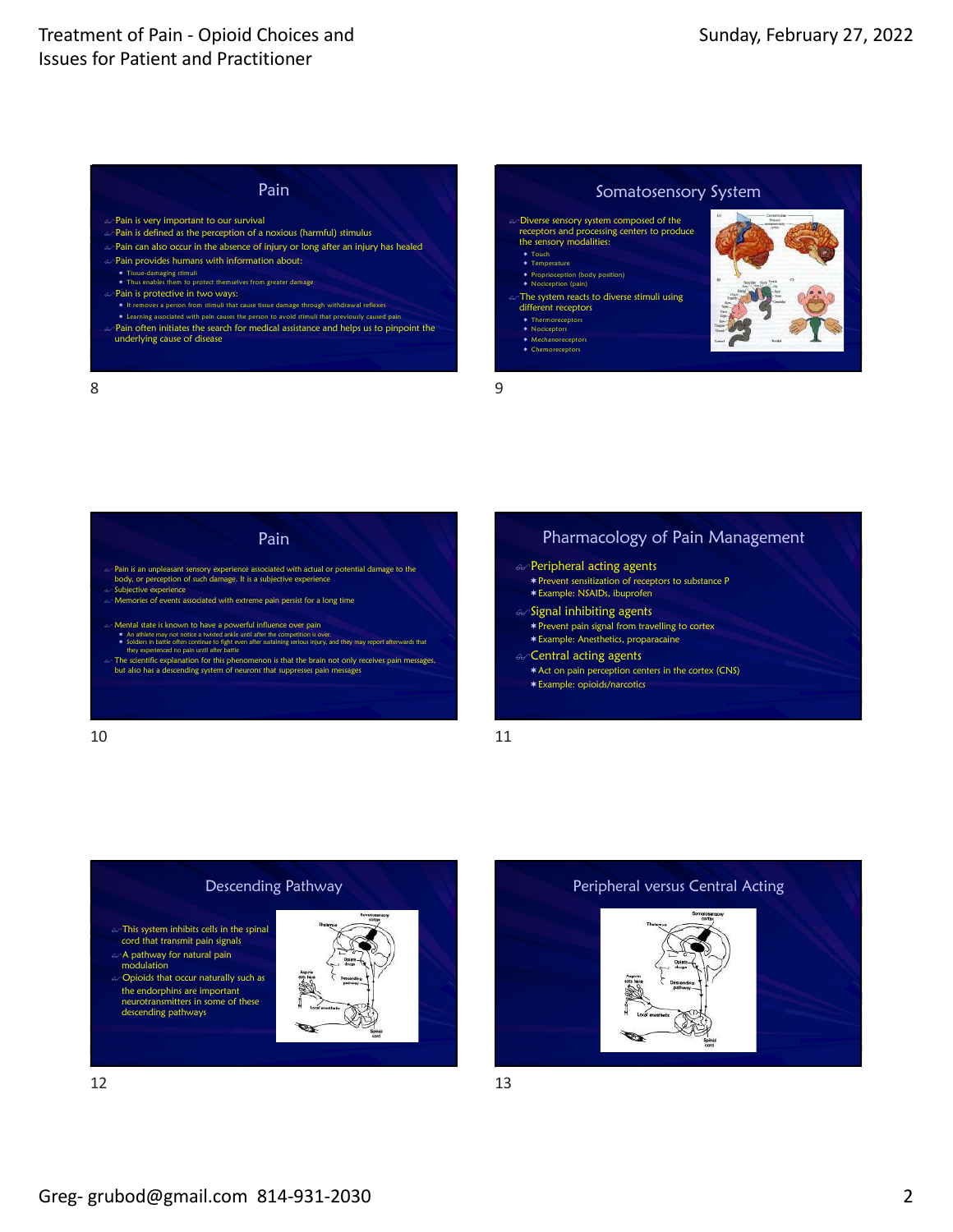# Pain

- $\infty$ Pain is very important to our survival
- $\infty$ Pain is defined as the perception of a noxious (harmful) stimulus
- $\sim$ Pain can also occur in the absence of injury or long after an injury has healed  $\infty$  Pain provides humans with information about:
- ¬ Tissue-damaging stimuli ¬ Thus enables them to protect themselves from greater damage  $\circ$ Pain is protective in two ways: ¬ It removes a person from stimuli that cause tissue damage through withdrawal reflexes
- ¬ Learning associated with pain causes the person to avoid stimuli that previously caused pain Pain often initiates the search for medical assistance and helps us to pinpoint the
	- underlying cause of disease

### Somatosensory System

- \$Diverse sensory system composed of the receptors and processing centers to produce the sensory modalities:
- ¬ Touch ¬ Temperature
- ¬ Proprioception (body position) ¬ Nociception (pain)
- The system reacts to diverse stimuli using different receptors
	- ¬ Thermoreceptors ¬ Nociceptors
	- ¬ Mechanoreceptors
	- ¬ Chemoreceptors

9



8



### Pharmacology of Pain Management  $\infty$ Peripheral acting agents ¬Prevent sensitization of receptors to substance P

- ¬Example: NSAIDs, ibuprofen
- $\mathcal{A}$ Signal inhibiting agents
- $*$  Prevent pain signal from travelling to cortex ¬Example: Anesthetics, proparacaine
- $\alpha$ Central acting agents
	- ¬Act on pain perception centers in the cortex (CNS)
	- ¬Example: opioids/narcotics

11



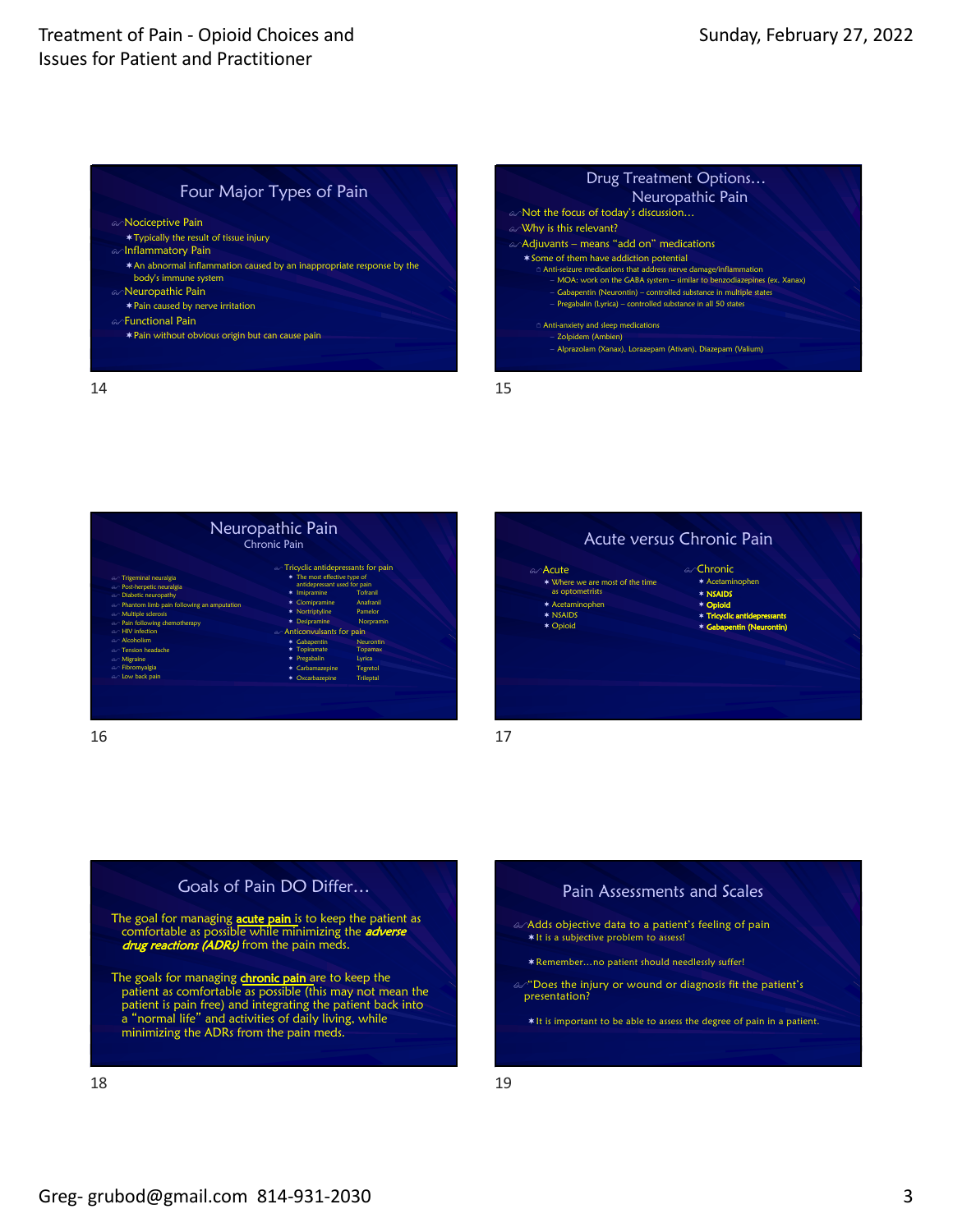### Four Major Types of Pain

### an Nociceptive Pain

- ¬Typically the result of tissue injury
- an Inflammatory Pain
- ¬An abnormal inflammation caused by an inappropriate response by the body's immune system
- an <mark>Neuropathic Pain</mark>
- $*$  Pain caused by nerve irritation
- an**Functional Pain**
- ¬Pain without obvious origin but can cause pain

Neuropathic Pain an Not the focus of today's discussion... an Why is this relevant?  $\mathscr{A}$ Adjuvants – means "add on" medications ¬Some of them have addiction potential 2 Anti-seizure medications that address nerve damage/inflammation – MOA: work on the GABA system – similar to benzodiazepines (ex. Xanax) – Gabapentin (Neurontin) – controlled substance in multiple states – Pregabalin (Lyrica) – controlled substance in all 50 states 2 Anti-anxiety and sleep medications – Zolpidem (Ambien) – Alprazolam (Xanax), Lorazepam (Ativan), Diazepam (Valium)

Drug Treatment Options…

14



16



17

15





- $\mathscr{A}^\omega$  Does the injury or wound or diagnosis fit the patient's presentation?
	- \* It is important to be able to assess the degree of pain in a patient.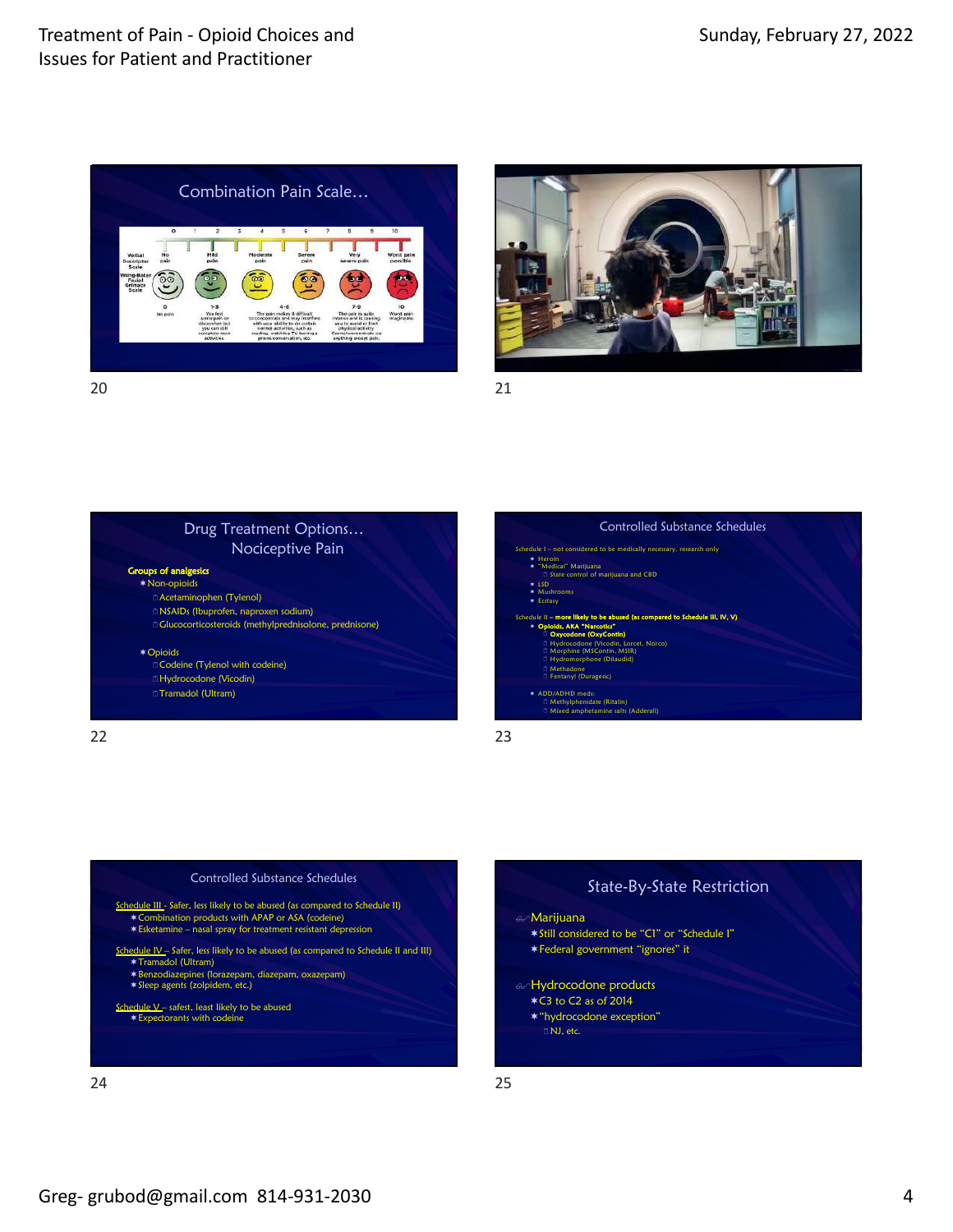









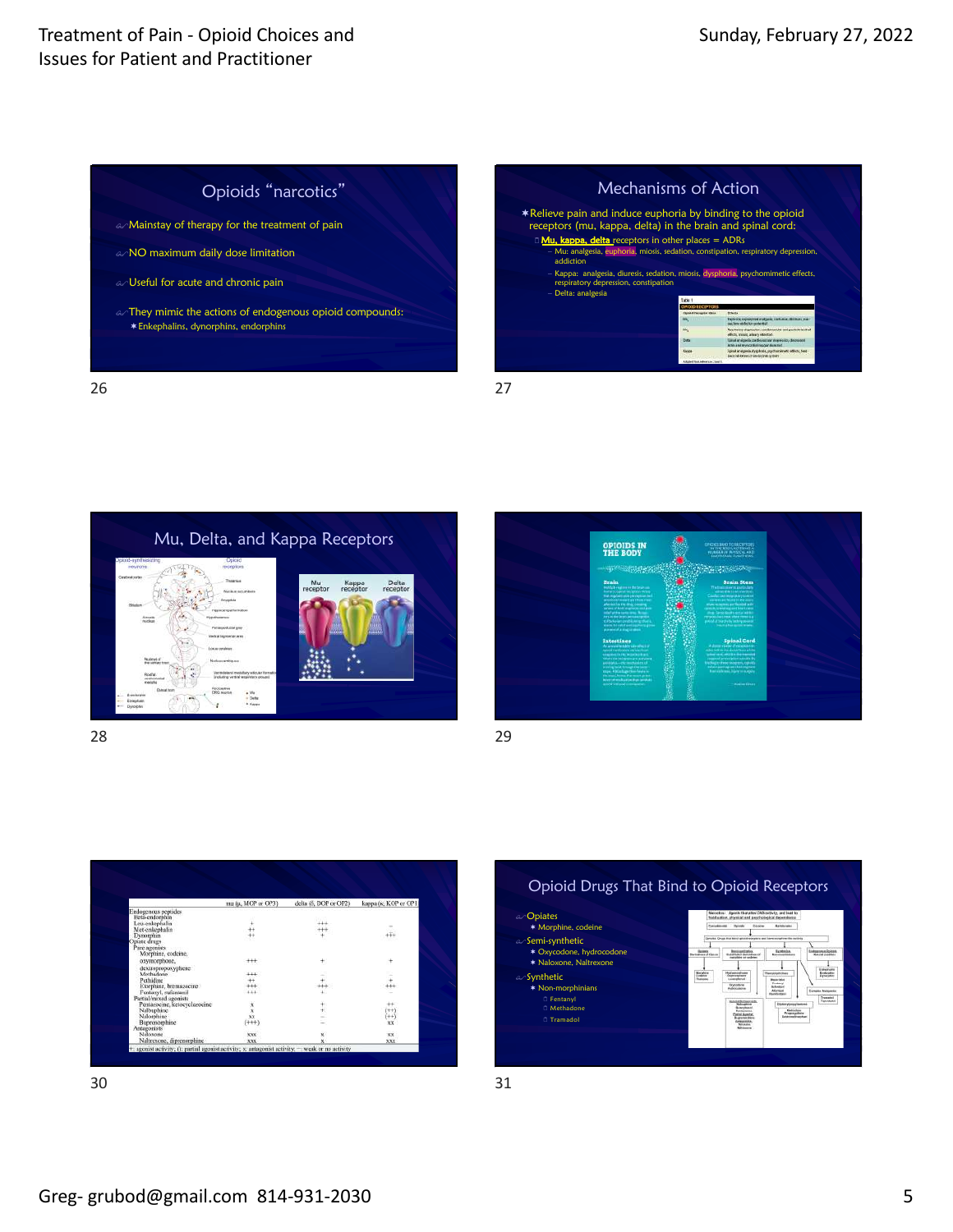

|                                                                                                                                 | Mechanisms of Action                             |                                                                                                     |
|---------------------------------------------------------------------------------------------------------------------------------|--------------------------------------------------|-----------------------------------------------------------------------------------------------------|
| <b>*Relieve pain and induce euphoria by binding to the opioid</b><br>receptors (mu, kappa, delta) in the brain and spinal cord: |                                                  |                                                                                                     |
| <b>L' Mu, kappa, delta</b> receptors in other places = ADRs                                                                     |                                                  |                                                                                                     |
| - Mu: analgesia, euphoria, miosis, sedation, constipation, respiratory depression,                                              |                                                  |                                                                                                     |
| addiction                                                                                                                       |                                                  |                                                                                                     |
| - Kappa: analgesia, diuresis, sedation, miosis, dysphoria, psychomimetic effects,<br>respiratory depression, constipation       |                                                  |                                                                                                     |
| - Delta: analgesia                                                                                                              |                                                  |                                                                                                     |
|                                                                                                                                 | <b>Exhibit</b>                                   |                                                                                                     |
|                                                                                                                                 | <b>SO BECOVER</b><br><b>Deltal Paragine Days</b> | <b>TYSucha</b>                                                                                      |
|                                                                                                                                 |                                                  | <b>DENVIR EQUIPTED AVEC 24 NOVEMBER 2012031</b><br>the best with the companies!                     |
|                                                                                                                                 |                                                  | lurg nessey supranoites, sonthausandar and posterio antitud<br>ABACK, MANAGE AFRAIDS HARVISCH.      |
|                                                                                                                                 | <b>Doba</b>                                      | langi malgada mediocamular negosiator, decreasos<br><b>MINN AND REPOGRESSIONS CONTINUES</b>         |
|                                                                                                                                 | <b>ELCOM</b>                                     | izirał inalgista, dygdiośli, pzychonistatic odschi, Ned-<br>backlish katalog of englacement systems |

Mu, Delta, and Kappa Receptors Nockspiller<br>DRO succes  $\begin{array}{c} \bullet \text{ } \text{Mn} \\ \bullet \text{ Dette} \\ \bullet \text{ Heter} \end{array}$ 







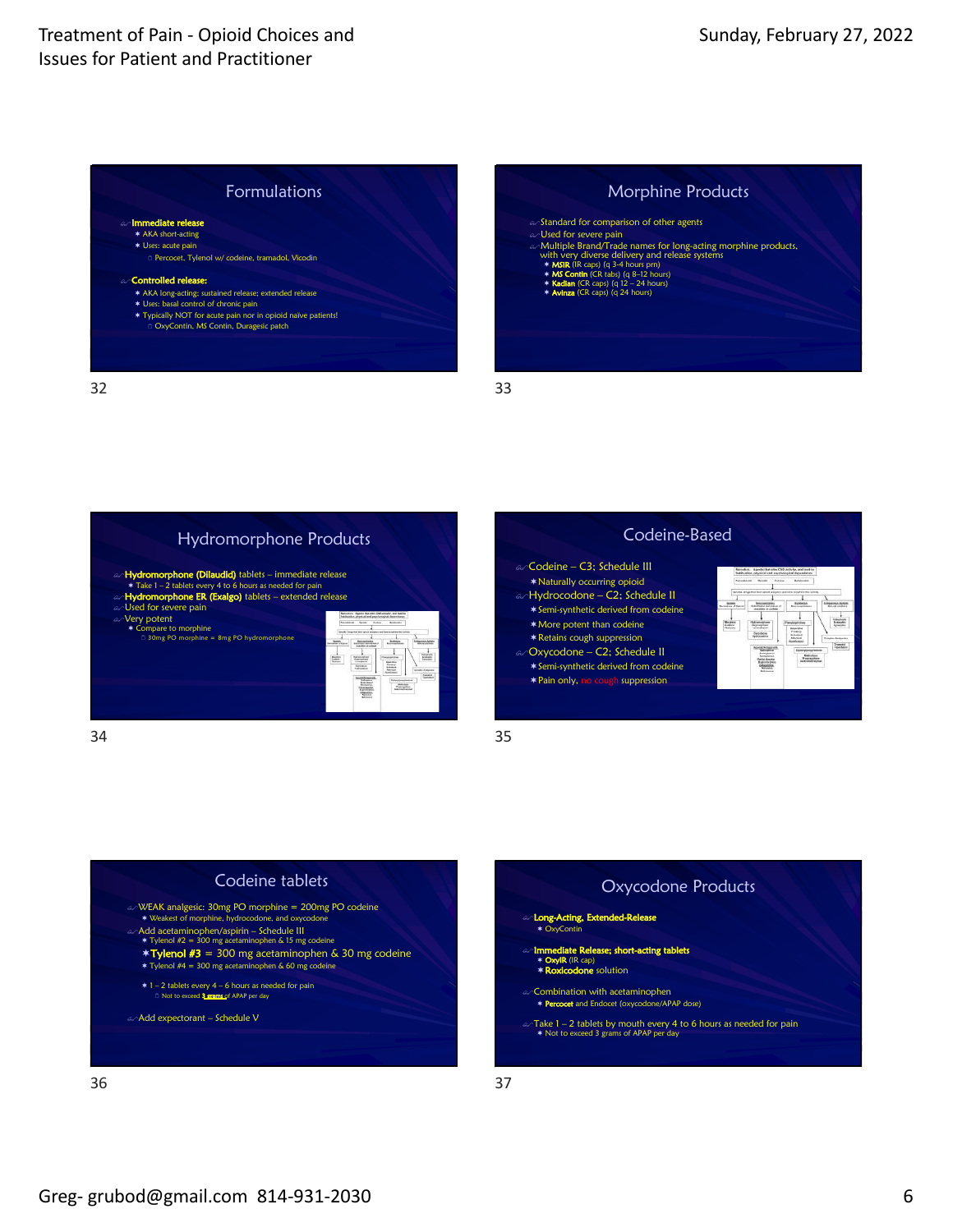











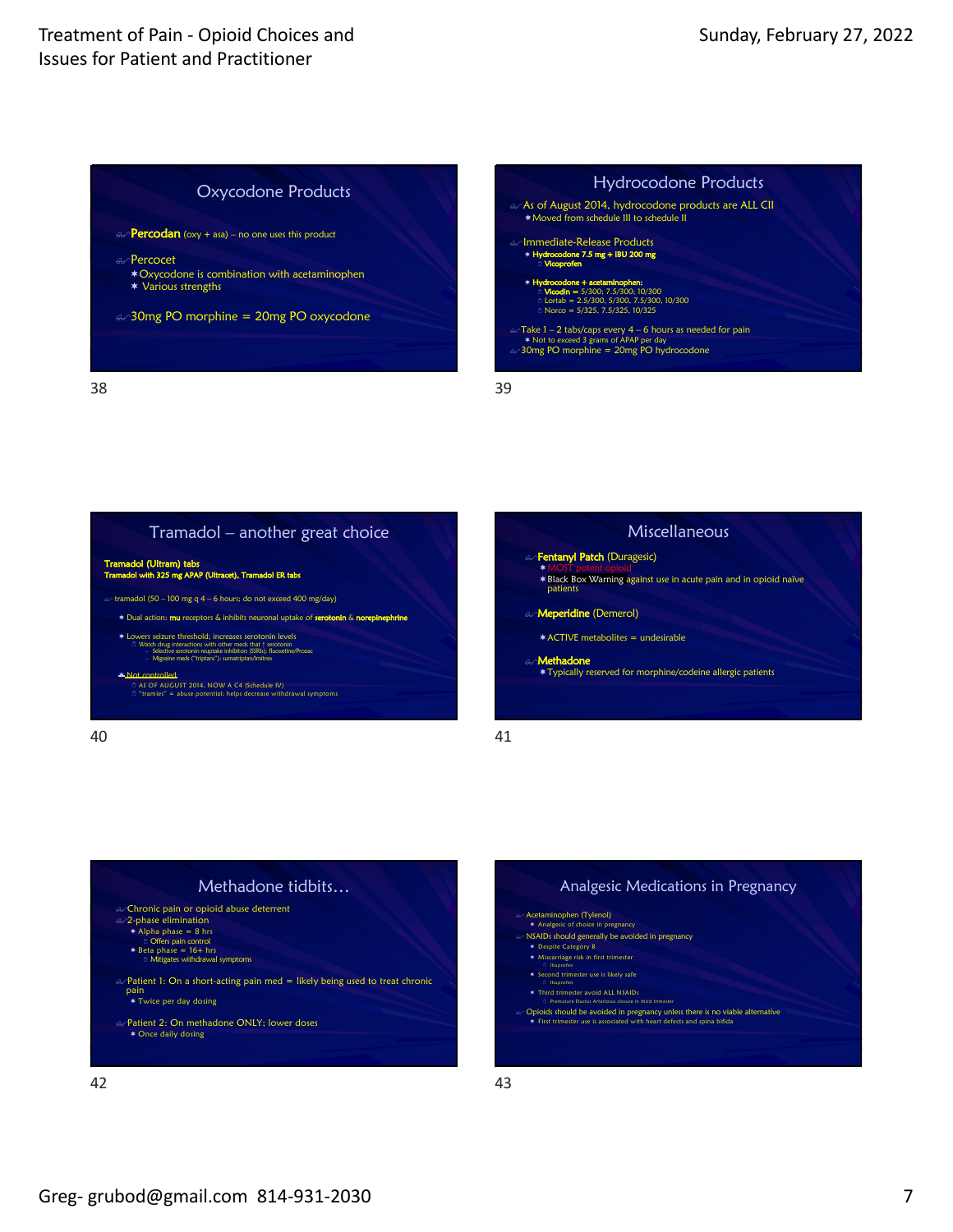









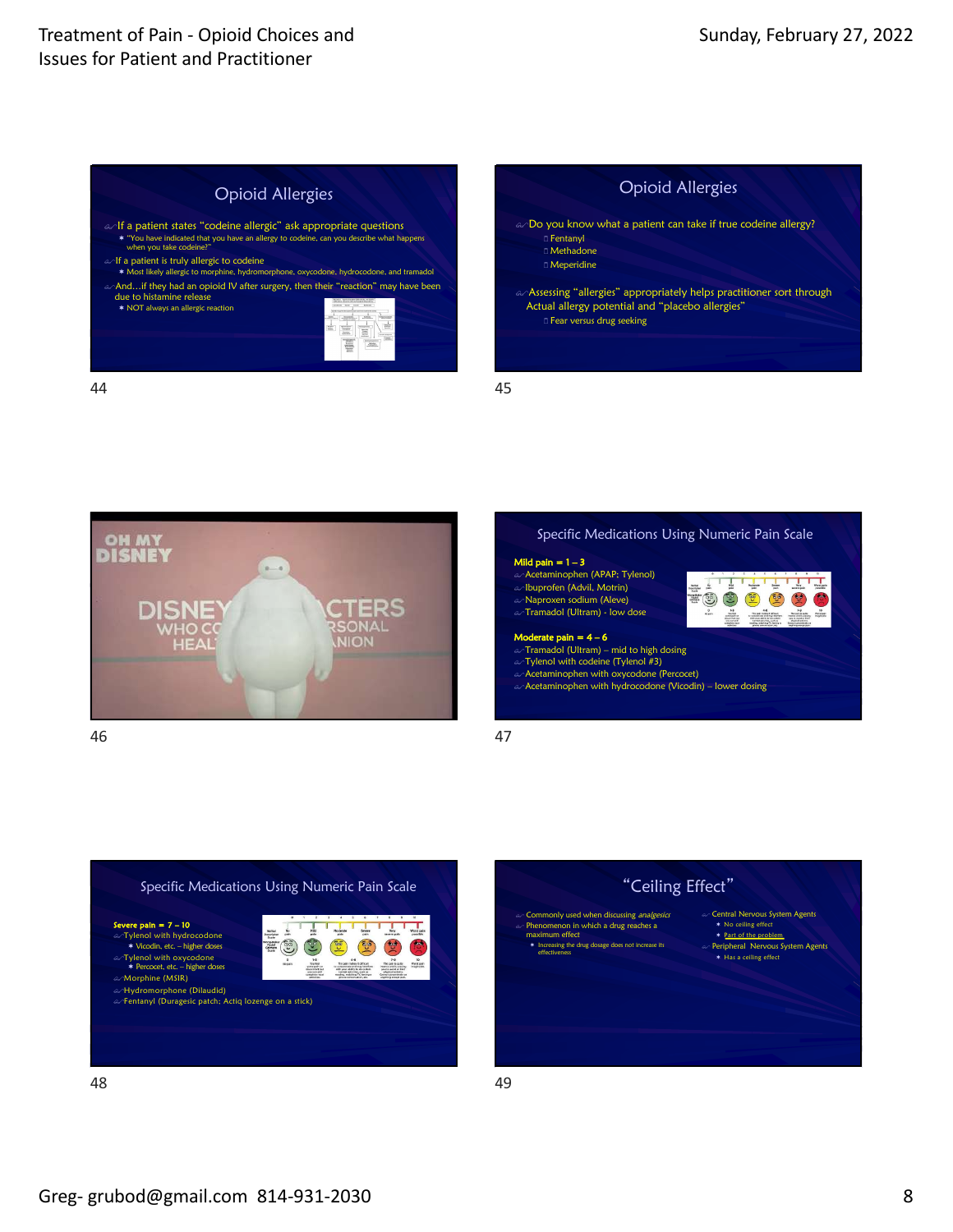









EO O O O O O  $\frac{1}{2}$   $\frac{1}{2}$   $\frac{1}{2}$   $\frac{1}{2}$ 

#### Mild pain = 1 – 3

a Acetaminophen (APAP; Tylenol)

Ibuprofen (Advil, Motrin) Naproxen sodium (Aleve)

 $\infty$ Tramadol (Ultram) - low dose

#### Moderate pain  $= 4-6$

ക**ി<code>ramadol</code> (Ultram) – mid to high dosing<br>കി<code>Tylenol</code> with codeine (Tylenol #3)** 

Acetaminophen with oxycodone (Percocet)

a Acetaminophen with hydrocodone (Vicodin) – lower dosing





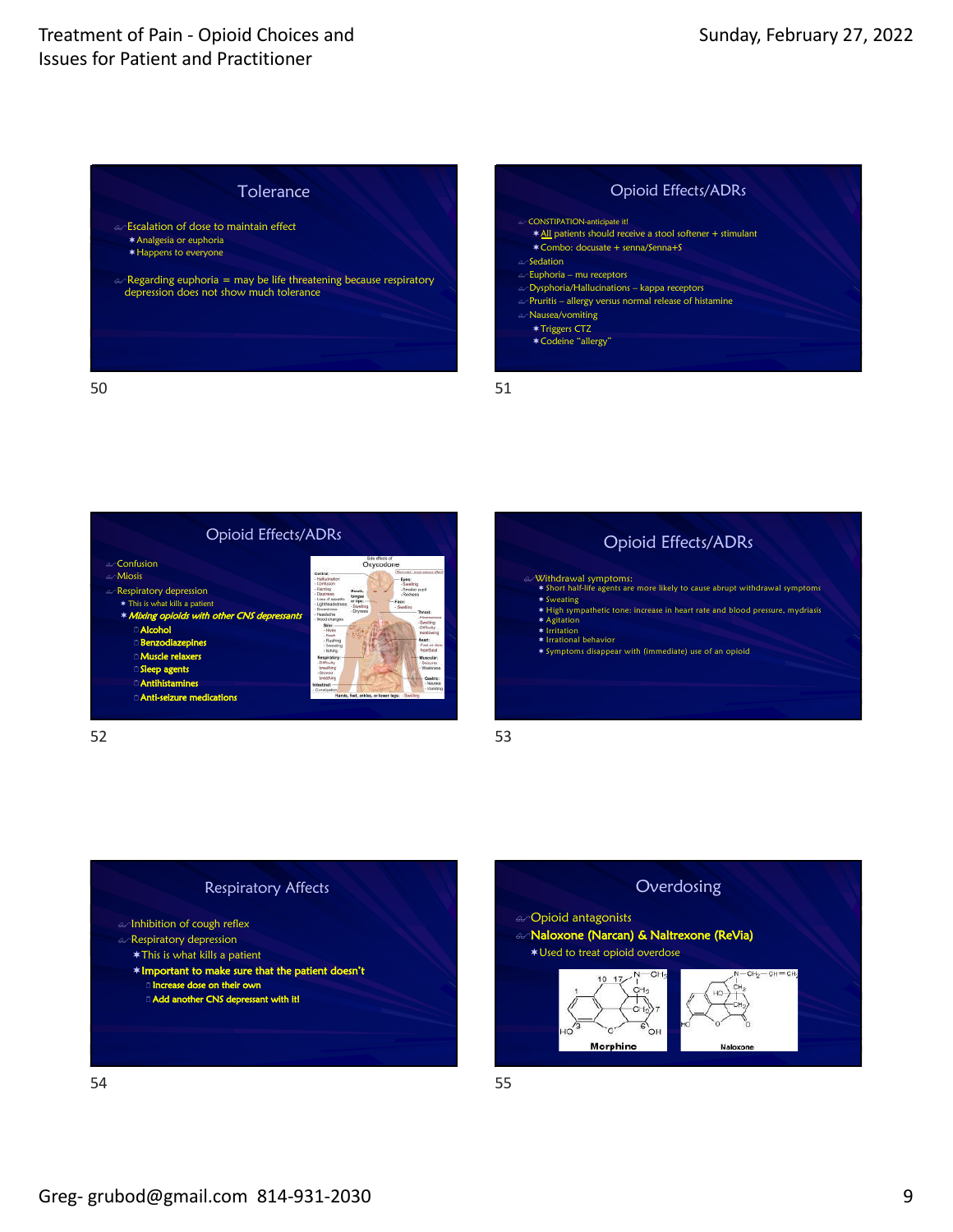











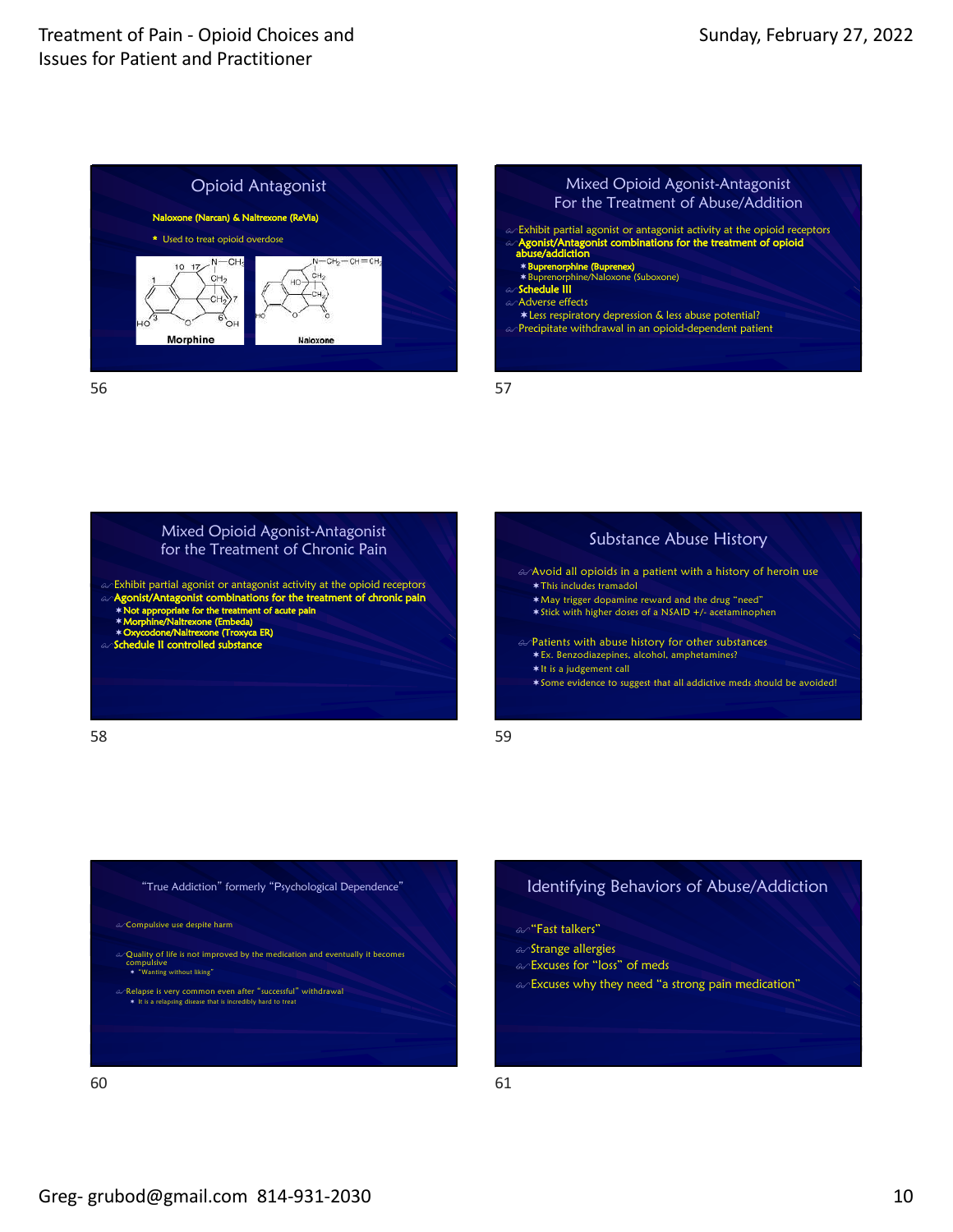







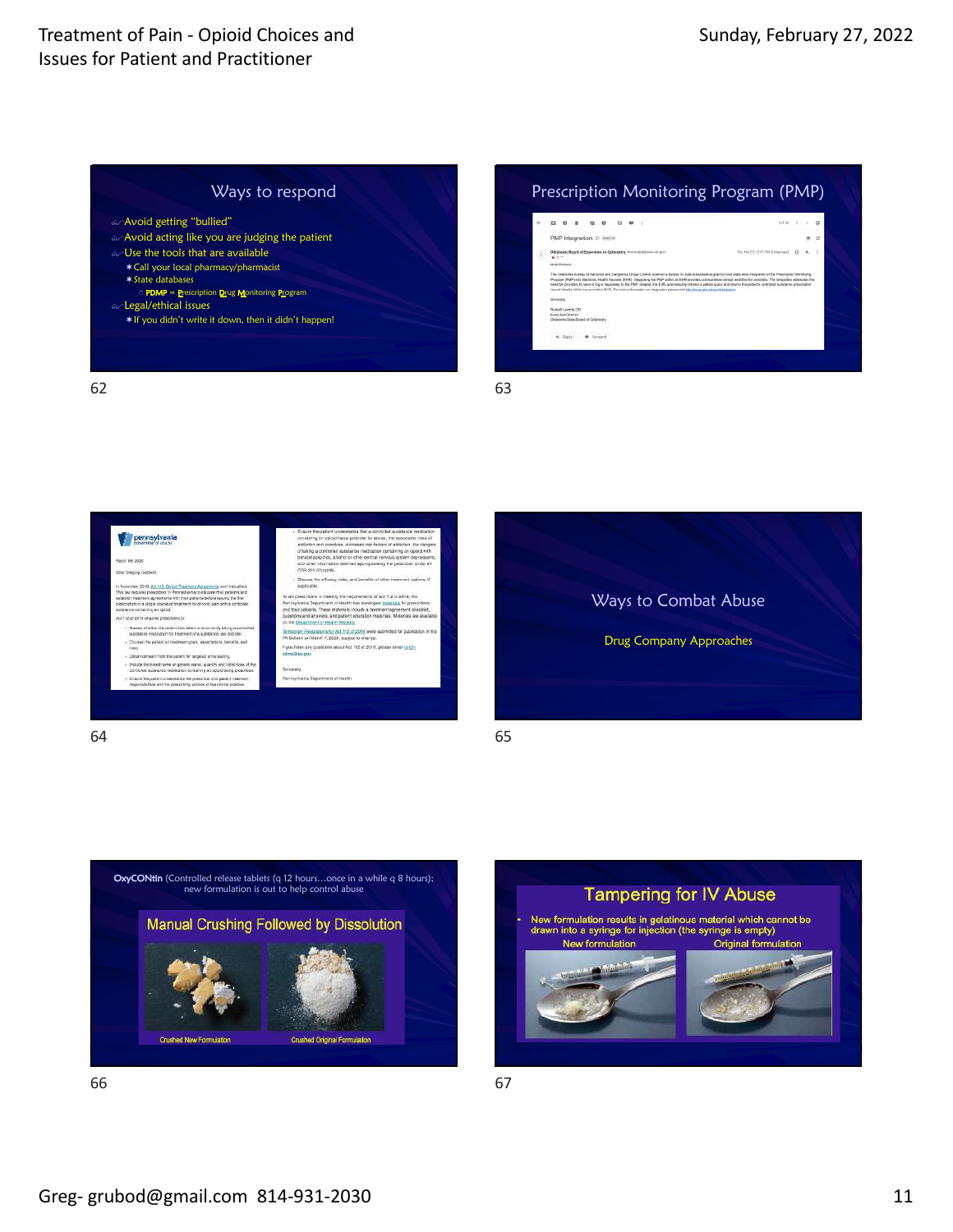









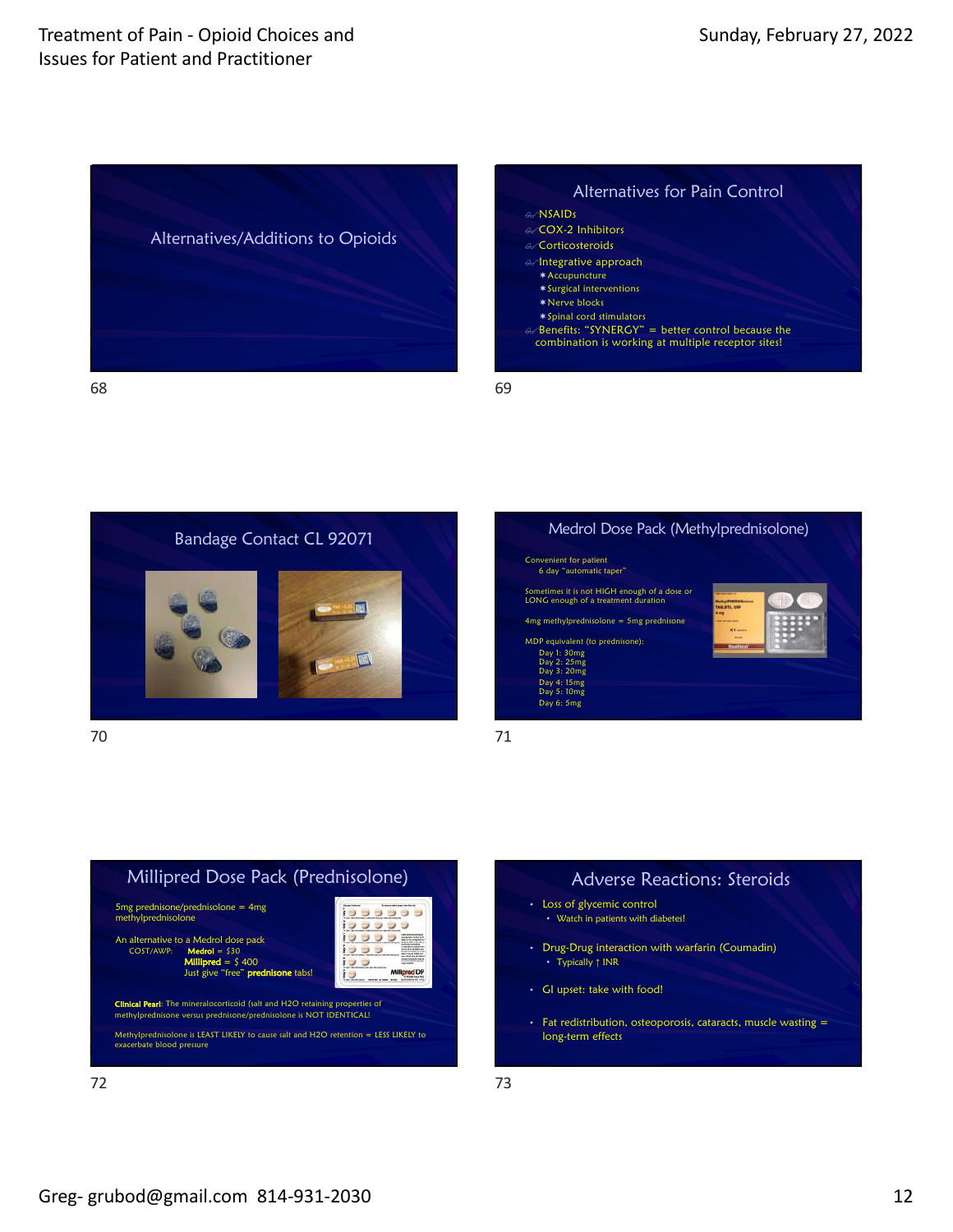





70





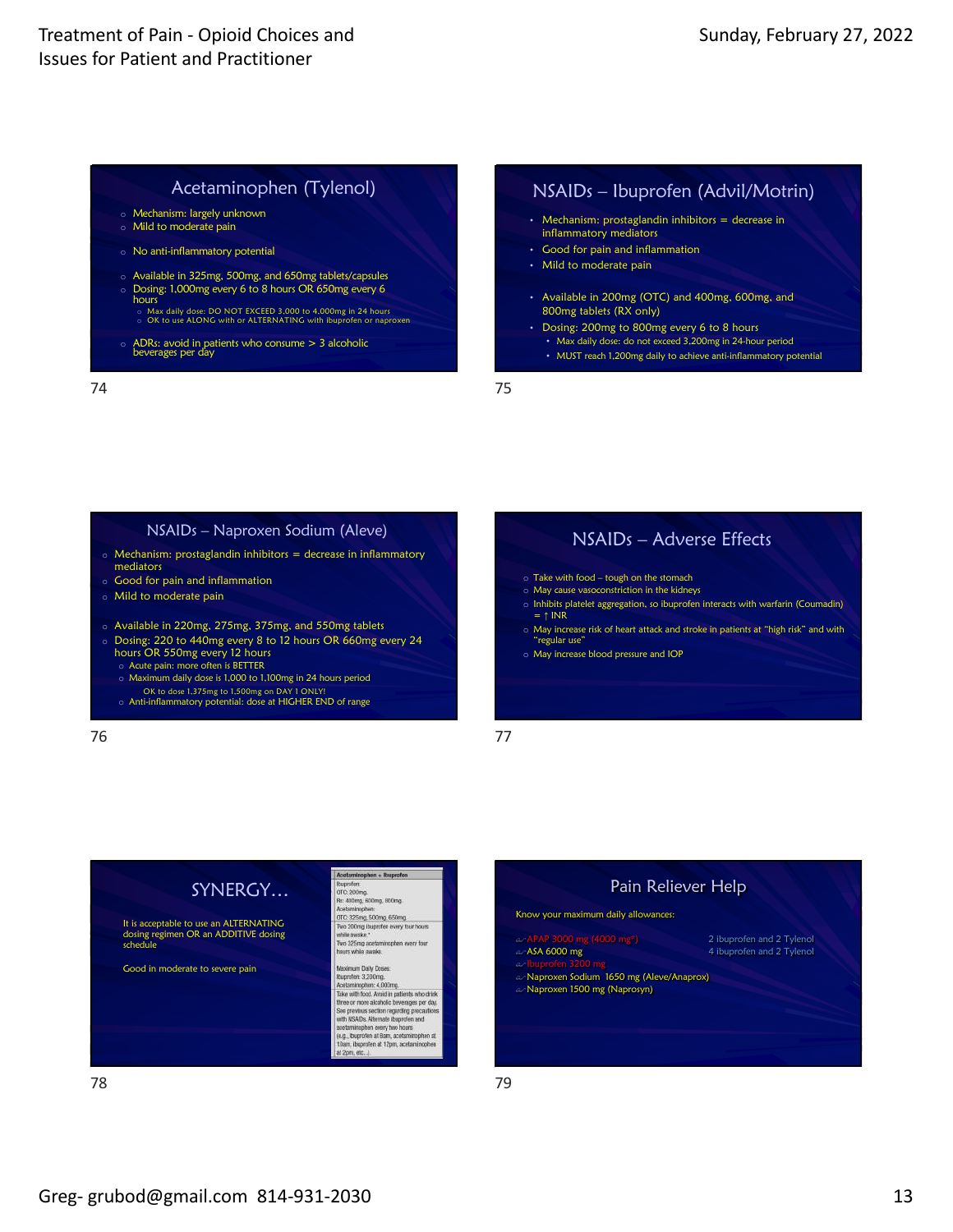## Acetaminophen (Tylenol)

- o Mechanism: largely unknown o Mild to moderate pain
- o No anti-inflammatory potential
- o Available in 325mg, 500mg, and 650mg tablets/capsules
- o Dosing: 1,000mg every 6 to 8 hours OR 650mg every 6 hours
	- o Max daily dose: DO NOT EXCEED 3,000 to 4,000mg in 24 hours o OK to use ALONG with or ALTERNATING with ibuprofen or naproxen
- o ADRs: avoid in patients who consume > 3 alcoholic beverages per day

74

### NSAIDs – Ibuprofen (Advil/Motrin)

- Mechanism: prostaglandin inhibitors = decrease in inflammatory mediators
- Good for pain and inflammation
- Mild to moderate pain
- Available in 200mg (OTC) and 400mg, 600mg, and 800mg tablets (RX only)
- Dosing: 200mg to 800mg every 6 to 8 hours
- Max daily dose: do not exceed 3,200mg in 24-hour period • MUST reach 1,200mg daily to achieve anti-inflammatory potential

75

### NSAIDs – Naproxen Sodium (Aleve)  $\circ$  Mechanism: prostaglandin inhibitors = decrease in inflammatory mediators

- o Good for pain and inflammation
- o Mild to moderate pain
- o Available in 220mg, 275mg, 375mg, and 550mg tablets
- o Dosing: 220 to 440mg every 8 to 12 hours OR 660mg every 24 hours OR 550mg every 12 hours
	- o Acute pain: more often is BETTER
	- o Maximum daily dose is 1,000 to 1,100mg in 24 hours period o OK to dose 1,375mg to 1,500mg on DAY 1 ONLY! o Anti-inflammatory potential: dose at HIGHER END of range

76

## NSAIDs – Adverse Effects

- 
- o Take with food tough on the stomach o May cause vasoconstriction in the kidneys
- o Inhibits platelet aggregation, so ibuprofen interacts with warfarin (Coumadin)  $= 1$  INR
- o May increase risk of heart attack and stroke in patients at "high risk" and with "regular use"
- o May increase blood pressure and IOP





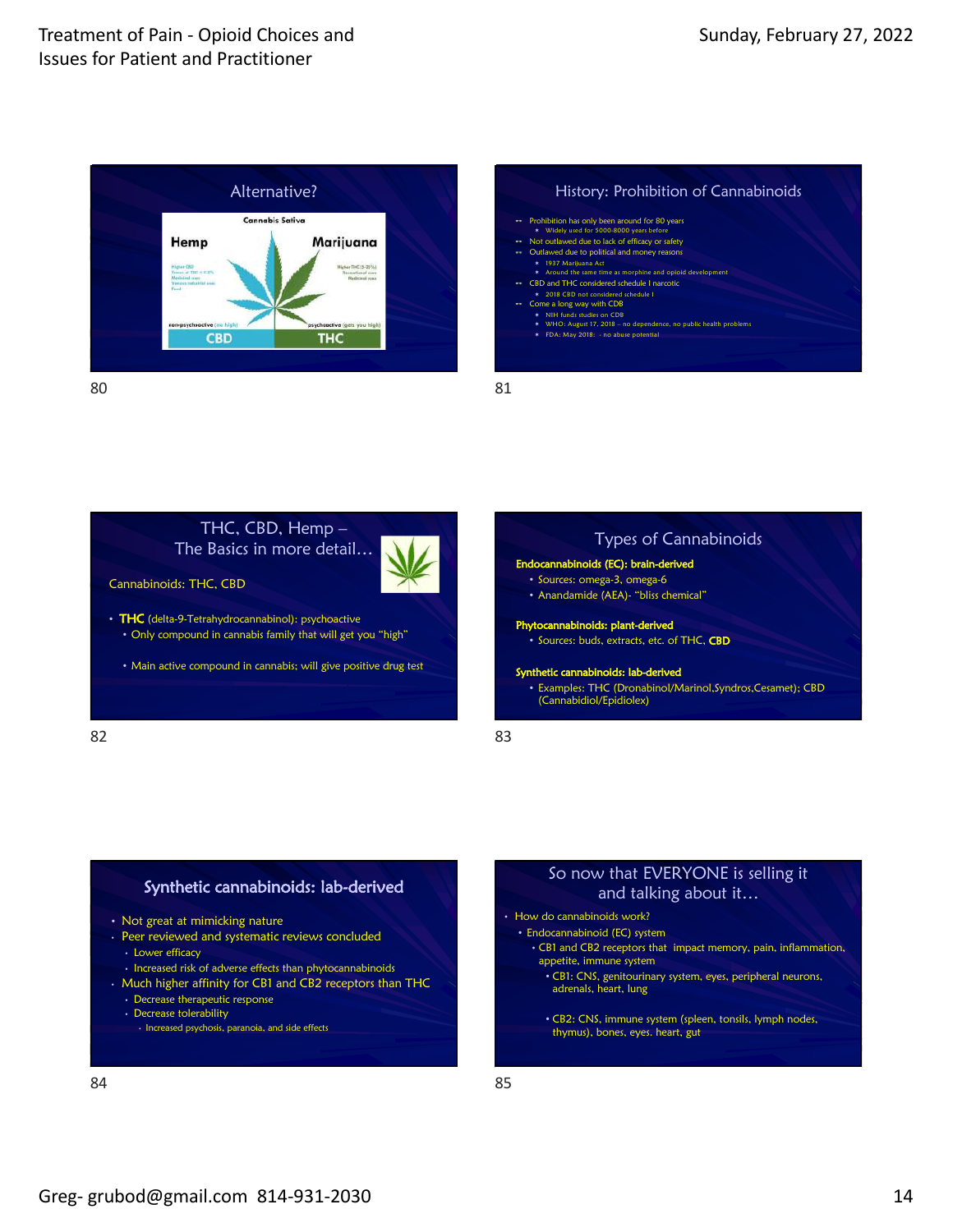









- Not great at mimicking nature
- Peer reviewed and systematic reviews concluded
	- Lower efficacy
- Increased risk of adverse effects than phytocannabinoids
- Much higher affinity for CB1 and CB2 receptors than THC
	- Decrease therapeutic response
	- Decrease tolerability
	- Increased psychosis, paranoia, and side effects



### So now that EVERYONE is selling it and talking about it…

• How do cannabinoids work?

#### • Endocannabinoid (EC) system

- CB1 and CB2 receptors that impact memory, pain, inflammation, appetite, immune system
	- CB1: CNS, genitourinary system, eyes, peripheral neurons, adrenals, heart, lung
	- CB2: CNS, immune system (spleen, tonsils, lymph nodes, thymus), bones, eyes. heart, gut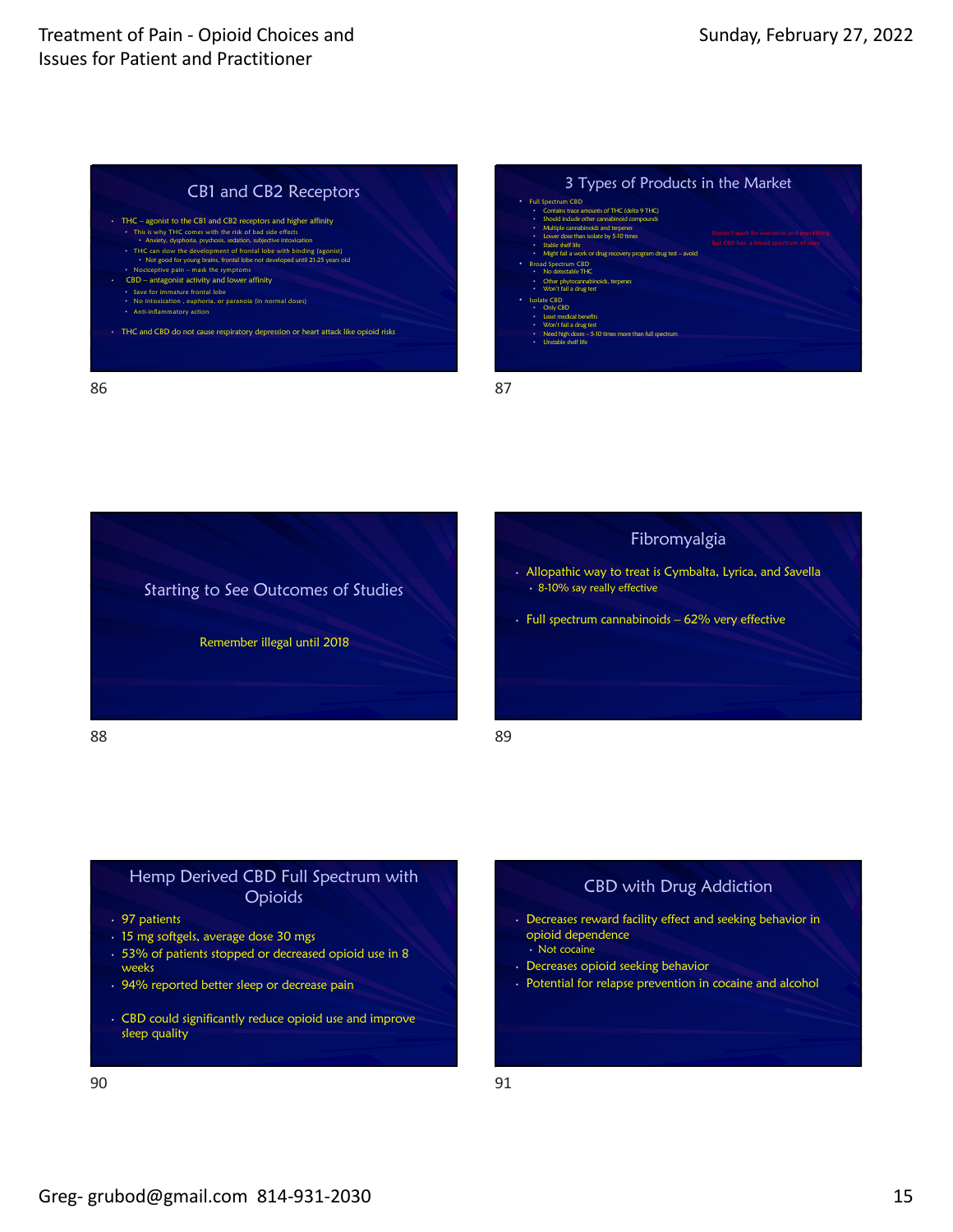



86





### Hemp Derived CBD Full Spectrum with Opioids

- 97 patients
- 15 mg softgels, average dose 30 mgs
- 53% of patients stopped or decreased opioid use in 8 weeks
- 94% reported better sleep or decrease pain
- CBD could significantly reduce opioid use and improve sleep quality

| .,      |         |         |
|---------|---------|---------|
| ۰.<br>v | ×<br>M. | I<br>۰, |



- Decreases reward facility effect and seeking behavior in opioid dependence • Not cocaine
- Decreases opioid seeking behavior
- Potential for relapse prevention in cocaine and alcohol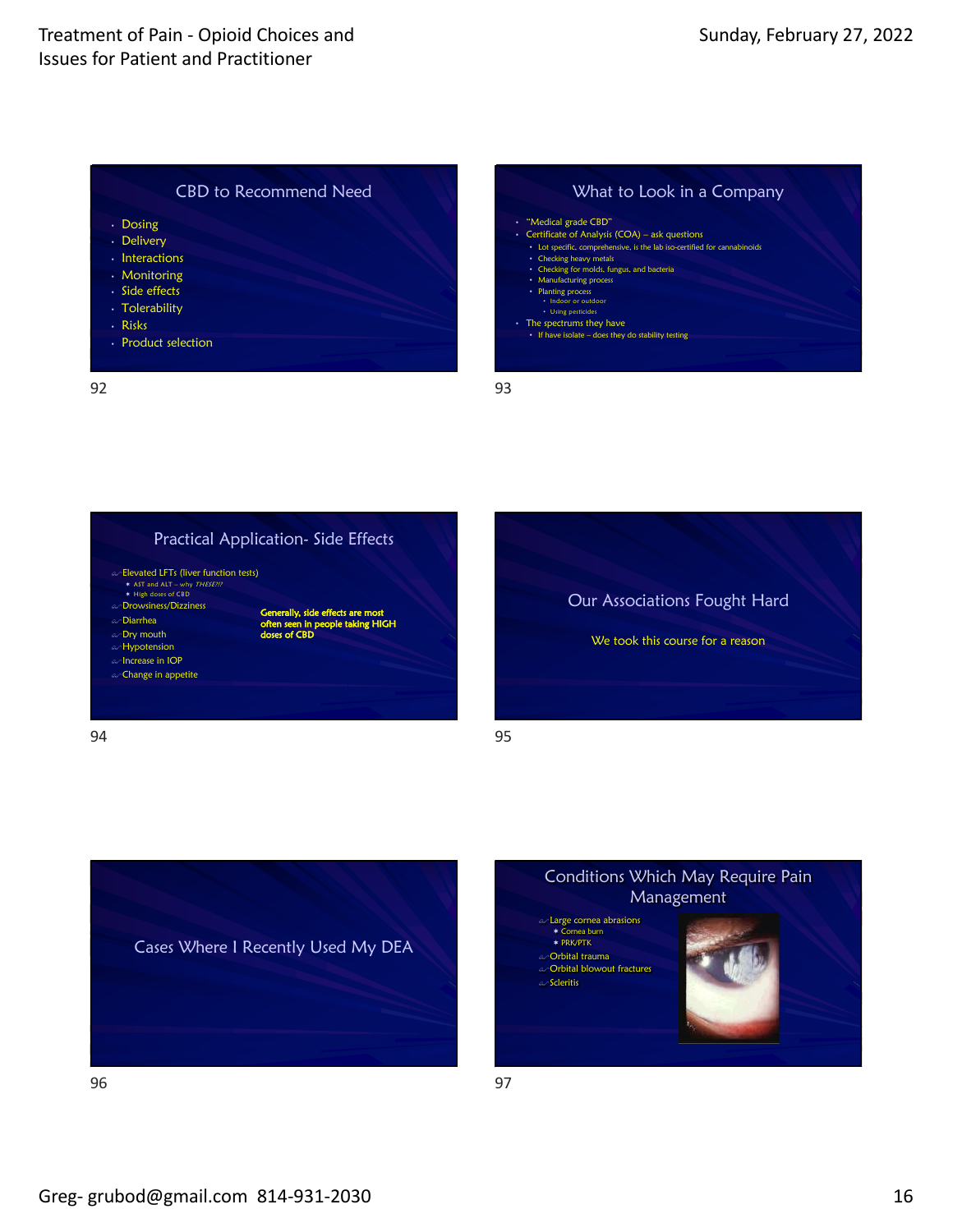